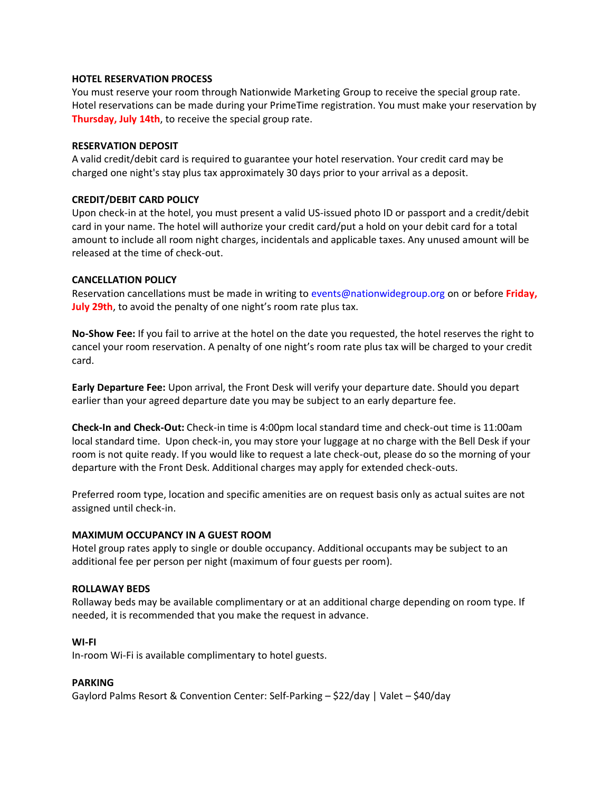## **HOTEL RESERVATION PROCESS**

You must reserve your room through Nationwide Marketing Group to receive the special group rate. Hotel reservations can be made during your PrimeTime registration. You must make your reservation by **Thursday, July 14th**, to receive the special group rate.

### **RESERVATION DEPOSIT**

A valid credit/debit card is required to guarantee your hotel reservation. Your credit card may be charged one night's stay plus tax approximately 30 days prior to your arrival as a deposit.

## **CREDIT/DEBIT CARD POLICY**

Upon check-in at the hotel, you must present a valid US-issued photo ID or passport and a credit/debit card in your name. The hotel will authorize your credit card/put a hold on your debit card for a total amount to include all room night charges, incidentals and applicable taxes. Any unused amount will be released at the time of check-out.

## **CANCELLATION POLICY**

Reservation cancellations must be made in writing to [events@nationwidegroup.org](mailto:events@nationwidegroup.org?subject=Reservation%20Cancellation) on or before **Friday, July 29th**, to avoid the penalty of one night's room rate plus tax.

**No-Show Fee:** If you fail to arrive at the hotel on the date you requested, the hotel reserves the right to cancel your room reservation. A penalty of one night's room rate plus tax will be charged to your credit card.

**Early Departure Fee:** Upon arrival, the Front Desk will verify your departure date. Should you depart earlier than your agreed departure date you may be subject to an early departure fee.

**Check-In and Check-Out:** Check-in time is 4:00pm local standard time and check-out time is 11:00am local standard time. Upon check-in, you may store your luggage at no charge with the Bell Desk if your room is not quite ready. If you would like to request a late check-out, please do so the morning of your departure with the Front Desk. Additional charges may apply for extended check-outs.

Preferred room type, location and specific amenities are on request basis only as actual suites are not assigned until check-in.

# **MAXIMUM OCCUPANCY IN A GUEST ROOM**

Hotel group rates apply to single or double occupancy. Additional occupants may be subject to an additional fee per person per night (maximum of four guests per room).

### **ROLLAWAY BEDS**

Rollaway beds may be available complimentary or at an additional charge depending on room type. If needed, it is recommended that you make the request in advance.

### **WI-FI**

In-room Wi-Fi is available complimentary to hotel guests.

### **PARKING**

Gaylord Palms Resort & Convention Center: Self-Parking – \$22/day | Valet – \$40/day